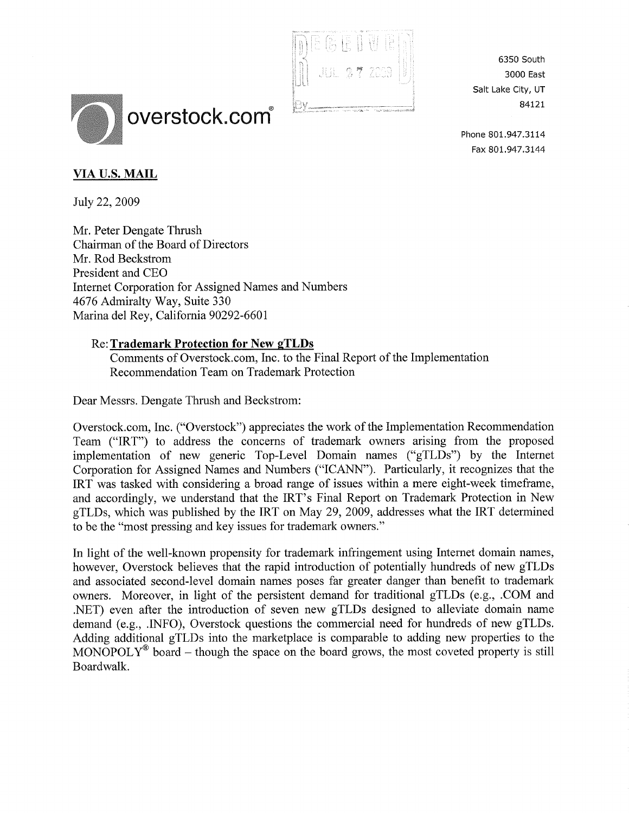

6350 South 3000 East Salt Lake City, UT 84121

Phone 801.947.3IL4 Fax 8Q1.947.3L44

# overstock.com

# VIA U.S. MAIL

Iuly 22,2009

Mr. Peter Dengate Thrush Chairman of the Board of Directors Mr. Rod Beckstrom President and CEO Internet Corporation for Assigned Names and Numbers 4676 Admiralty Way, Suite 330 Marina del Rey, California 90292-6601

## Re: Trademark Protection for New gTLDs

Comments of Overstock.com, Inc. to the Final Report of the Implementation Recommendation Team on Trademark Protection

Dear Messrs. Dengate Thrush and Beckstrom:

Overstock.com, Inc. ("Overstock") appreciates the work of the Implementation Recommendation Team ("IRT") to address the concems of trademark owners arising from the proposed implementation of new generic Top-Level Domain names ("gTLDs") by the Internet Corporation for Assigned Names and Numbers ("ICANN"). Particularly, it recognizes that the IRT was tasked with considering a broad range of issues within a mere eight-week timeframe, and accordingly, we understand that the IRT's Final Report on Trademark Protection in New gTLDs, which was published by the IRT on May 29,2009, addresses what the IRT determined to be the "most pressing and key issues for trademark owners."

In light of the well-known propensity for trademark infringement using Internet domain names, however, Overstock believes that the rapid introduction of potentially hundreds of new gTLDs and associated second-level domain names poses far greater danger than benefit to trademark owners. Moreover, in light of the persistent demand for traditional gTLDs (e.g., .COM and .NET) even after the introduction of seven new gTLDs designed to alleviate domain name demand (e.g., .INFO), Overstock questions the commercial need for hundreds of new gTLDs. Adding additional gTLDs into the marketplace is comparable to adding new properties to the MONOPOLY<sup>®</sup> board – though the space on the board grows, the most coveted property is still Boardwalk.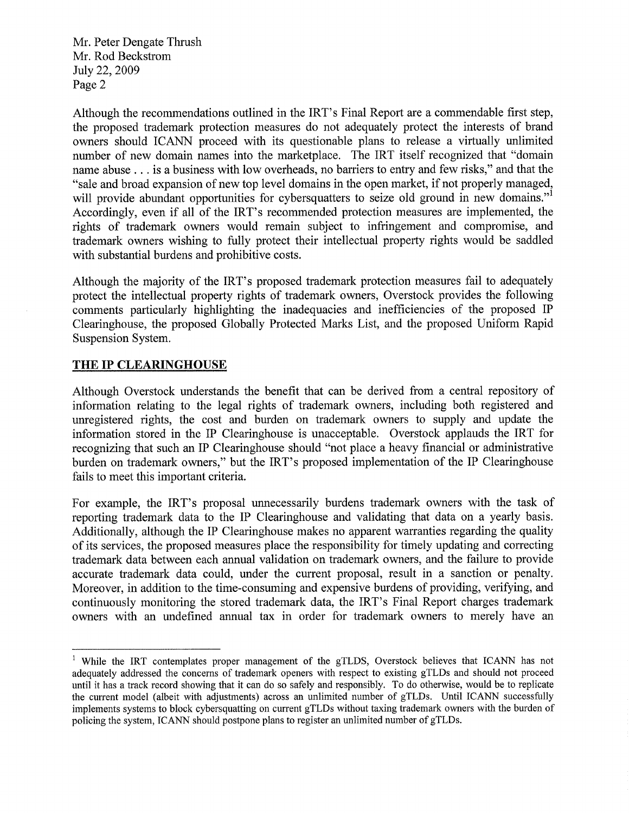Although the recommendations outlined in the IRT's Final Report are a commendable first step, the proposed trademark protection measures do not adequately protect the interests of brand owners should ICANN proceed with its questionable plans to release a virtually unlimited number of new domain names into the marketplace. The IRT itself recognized that "domain name abuse . . . is a business with low overheads, no barriers to entry and few risks," and that the "sale and broad expansion of new top level domains in the open market, if not properly managed, will provide abundant opportunities for cybersquatters to seize old ground in new domains." Accordingly, even if all of the IRT's recommended protection measures are implemented, the rights of trademark owners would remain subject to infringement and compromise, and trademark owners wishing to fully protect their intellectual property rights would be saddled with substantial burdens and prohibitive costs.

Although the majority of the IRT's proposed trademark protection measures fail to adequately protect the intellectual property rights of trademark owners, Overstock provides the following comments particularly highlighting the inadequacies and inefficiencies of the proposed IP Clearinghouse, the proposed Globally Protected Marks List, and the proposed Uniform Rapid Suspension System.

#### THE IP CLEARINGHOUSE

Although Overstock understands the benefit that can be derived from a central repository of information relating to the legal rights of trademark owners, including both registered and unregistered rights, the cost and burden on trademark owners to supply and update the information stored in the IP Clearinghouse is unacceptable. Overstock applauds the IRT for recognizing that such an IP Clearinghouse should "not place a heavy financial or administrative burden on trademark owners," but the IRT's proposed implementation of the IP Clearinghouse fails to meet this important criteria.

For example, the IRT's proposal unnecessarily burdens trademark owners with the task of reporting trademark data to the IP Clearinghouse and validating that data on a yearly basis. Additionally, although the IP Clearinghouse makes no apparent warranties regarding the quality of its services, the proposed measures place the responsibility for timely updating and correcting trademark data between each annual validation on trademark owners, and the failure to provide accurate trademark data could, under the current proposal, result in a sanction or penalty. Moreover, in addition to the time-consuming and expensive burdens of providing, verifying, and continuously monitoring the stored trademark data, the IRT's Final Report charges trademark owners with an undefined annual tax in order for trademark owners to merely have an

<sup>&</sup>lt;sup>1</sup> While the IRT contemplates proper management of the gTLDS, Overstock believes that ICANN has not adequately addressed the concerns of trademark openers with respect to existing gTLDs and should not proceed until it has a track record showing that it can do so safely and responsibly. To do otherwise, would be to replicate the current model (albeit with adjustments) across an unlimited number of gTLDs. Until ICANN successfully implements systems to block cybersquatting on current gTLDs without taxing trademark owners with the burden of policing the system, ICANN should postpone plans to register an unlimited number of gTLDs.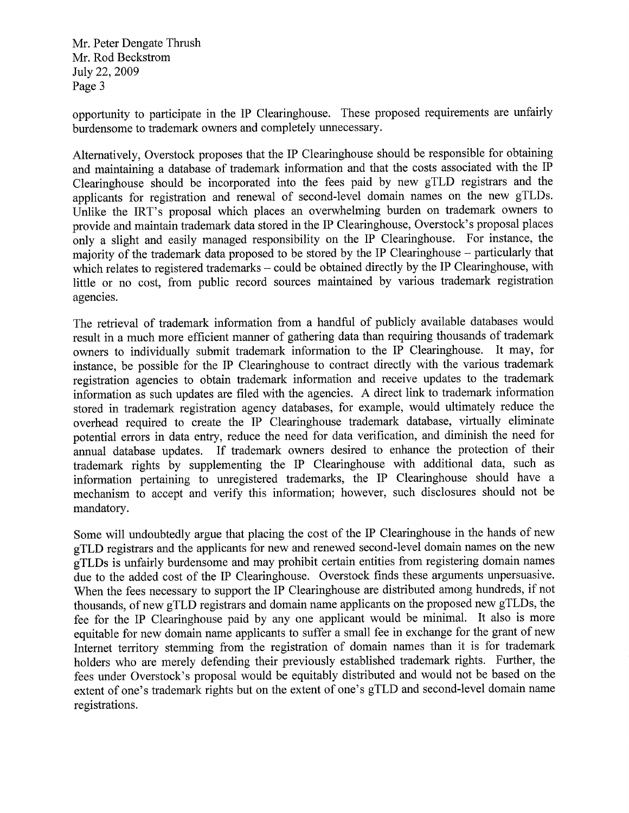opportunity to participate in the IP Clearinghouse. These proposed requirements are unfairly burdensome to trademark owners and completely unnecessary.

Alternatively, Overstock proposes that the IP Clearinghouse should be responsible for obtaining and maintaining a database of trademark information and that the costs associated with the IP Clearinghouse should be incorporated into the fees paid by new gTLD registrars and the applicants for registration and renewal of second-level domain names on the new gTLDs. Unlike the IRT's proposal which places an overwhelming burden on trademark owners to provide and maintain trademark data stored in the IP Clearinghouse, Overstock's proposal places only a slight and easily managed responsibility on the IP Clearinghouse. For instance, the majority of the trademark data proposed to be stored by the IP Clearinghouse - particularly that which relates to registered trademarks – could be obtained directly by the IP Clearinghouse, with little or no cost, from public record sources maintained by various trademark registration agencies.

The retrieval of trademark information from a handful of publicly available databases would result in a much more efficient manner of gathering data than requiring thousands of trademark owners to individually submit trademark information to the IP Clearinghouse. It may, for instance, be possible for the IP Clearinghouse to contract directly with the various trademark registration agencies to obtain trademark information and receive updates to the trademark information as such updates are filed with the agencies. A direct link to trademark information stored in trademark registration agency databases, for example, would ultimately reduce the overhead required to create the IP Clearinghouse trademark database, virtually eliminate potential errors in data entry, reduce the need for data verification, and diminish the need for annual database updates. If trademark owners desired to enhance the protection of their trademark rights by supplementing the IP Clearinghouse with additional data, such as information pertaining to unregistered trademarks, the IP Clearinghouse should have <sup>a</sup> mechanism to accept and verify this information; however, such disclosures should not be mandatory.

Some will undoubtedly argue that placing the cost of the IP Clearinghouse in the hands of new gTLD registrars and the applicants for new and renewed second-level domain names on the new gTLDs is unfairly burdensome and may prohibit certain entities from registering domain names due to the added cost of the IP Clearinghouse. Overstock finds these arguments unpersuasive. When the fees necessary to support the IP Clearinghouse are distributed among hundreds, if not thousands, of new gTLD registrars and domain name applicants on the proposed new gTLDs, the fee for the IP Clearinghouse paid by any one applicant would be minimal. It also is more equitable for new domain name applicants to suffer a small fee in exchange for the grant of new Internet territory stemming from the registration of domain names than it is for trademark holders who are merely defending their previously established trademark rights. Further, the fees under Overstock's proposal would be equitably distributed and would not be based on the extent of one's trademark rights but on the extent of one's gTLD and second-level domain name registrations.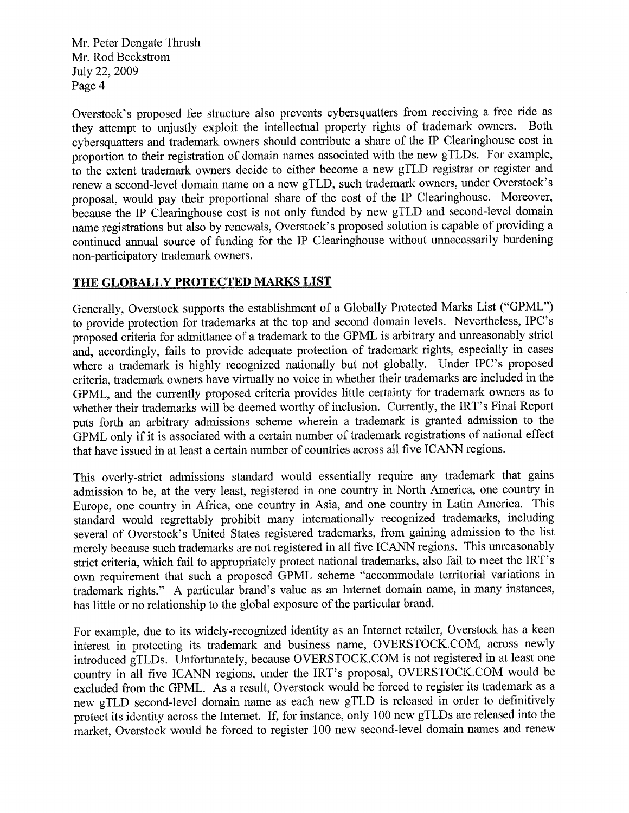Overstock's proposed fee structure also prevents cybersquatters from receiving a free ride as they attempt to unjustly exploit the intellectual property rights of trademark owners. Both cybersquatters and trademark owners should contribute a share of the IP Clearinghouse cost in proportion to their registration of domain names associated with the new gTLDs. For example, to the extent trademark owners decide to either become a new gTLD registrar or register and renew a second-level domain name on a new gTLD, such trademark owners, under Overstock's proposal, would pay their proportional sharç of the cost of the IP Clearinghouse. Moreover, because the IP Clearinghouse cost is not only funded by new gTLD and second-level domain name registrations but also by renewals, Overstock's proposed solution is capable of providing <sup>a</sup> continued annual source of funding for the IP Clearinghouse without unnecessarily burdening non-participatory trademark owners.

## THE GLOBALLY PROTECTED MARKS LIST

Generally, Overstock supports the establishment of a Globally Protected Marks List ("GPML") to provide protection for trademarks at the top and second domain levels. Nevertheless, IPC's proposed criteria for admittance of a trademark to the GPML is arbitrary and unreasonably strict and, accordingly, fails to provide adequate protection of trademark rights, especially in cases where a trademark is highly recognized nationally but not globally. Under IPC's proposed criteria, trademark owners have virtually no voice in whether their trademarks are included in the GPML, and the currently proposed criteria provides little certainty for trademark owners as to whether their trademarks will be deemed worthy of inclusion. Currently, the IRT's Final Report puts forth an arbitrary admissions scheme wherein a trademark is granted admission to the GPML only if it is associated with a certain number of trademark registrations of national effect that have issued in at least a certain number of countries across all five ICANN regions.

This overly-strict admissions standard would essentially require any trademark that gains admission to be, at the very least, registered in one country in North America, one country in Europe, one country in Africa, one country in Asia, and one country in Latin America. This standard would regrettably prohibit many internationally recognized trademarks, including several of Overstock's United States registered trademarks, from gaining admission to the list merely because such trademarks are not registered in all five ICANN regions. This unreasonably strict criteria, which fail to appropriately protect national trademarks, also fail to meet the IRT's own requirement that such a proposed GPML scheme "accommodate territorial variations in trademark rights." A particular brand's value as an Internet domain name, in many instances, has little or no relationship to the global exposure of the particular brand.

For example, due to its widely-recognized identity as an Intemet retailer, Overstock has a keen interest in protecting its trademark and business name, OVERSTOCK.COM, across newly introduced gTLDs. Unfortunately, because OVERSTOCK.COM is not registered in at least one country in all five ICANN regions, under the IRT's proposal, OVERSTOCK.COM would be excluded from the GPML. As a result, Overstock would be forced to register its trademark as a new gTLD second-level domain name as each new gTLD is released in order to definitively protect its identity across the Internet. If, for instance, only 100 new gTLDs are released into the market, Overstock would be forced to register 100 new second-level domain names and renew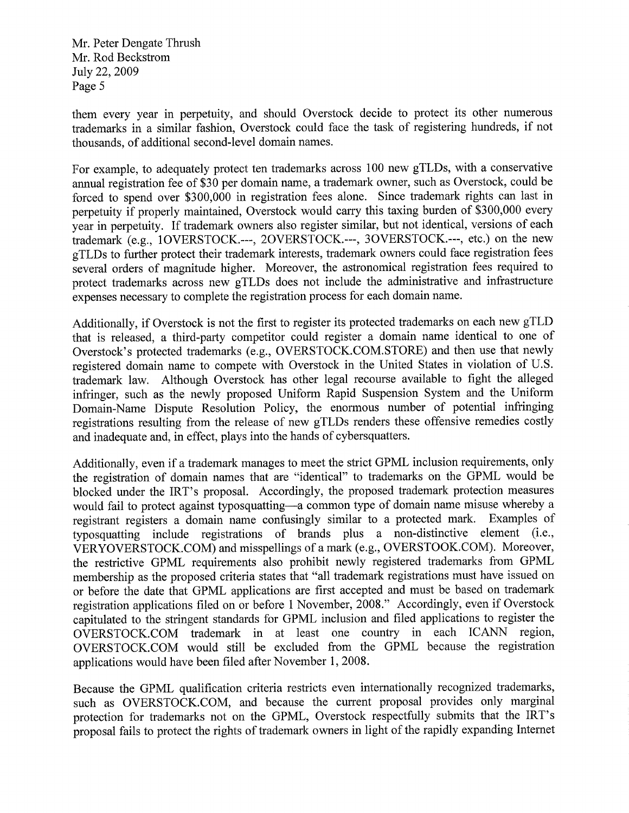them every year in perpetuity, and should Overstock decide to protect its other numerous trademarks in a similar fashion, Overstock could face the task of registering hundreds, if not thousands, of additional second-level domain names.

For example, to adequately protect ten trademarks across 100 new gTLDs, with a conservative annual registration fee of \$30 per domain name, a trademark owner, such as Overstock, could be forced to spend over \$300,000 in registration fees alone. Since trademark rights can last in perpetuity if properly maintained, Overstock would cary this taxing burden of \$300,000 every year in perpetuity. If trademark owners also register similar, but not identical, versions of each trademark (e.g., IOVERSTOCK.---, 2OVERSTOCK.---, 3OVERSTOCK.---, etc.) on the new gTLDs to further protect their trademark interests, trademark owners could face registration fees several orders of magnitude higher. Moreover, the astronomical registration fees required to protect trademarks across new gTLDs does not include the administrative and infrastructure expenses necessary to complete the registration process for each domain name.

Additionally, if Overstock is not the first to register its protected trademarks on each new gTLD that is released, a third-party competitor could register a domain name identical to one of Overstock's protected trademarks (e.g., OVERSTOCK.COM.STORE) and then use that newly registered domain name to compete with Overstock in the United States in violation of U.S. trademark law. Although Overstock has other legal recourse available to fight the alleged infringer, such as the newly proposed Uniform Rapid Suspension System and the Uniform Domain-Name Dispute Resolution Policy, the enormous number of potential infringing registrations resulting from the release of new gTLDs renders these offensive remedies costly and inadequate and, in effect, plays into the hands of cybersquatters.

Additionally, even if a trademark manages to meet the strict GPML inclusion requirements, only the registration of domain names that are "identical" to trademarks on the GPML would be blocked under the IRT's proposal. Accordingly, the proposed trademark protection measures would fail to protect against typosquatting-a common type of domain name misuse whereby a registrant registers a domain name confusingly similar to a protected mark. Examples of typosquatting include registrations of brands plus a non-distinctive element (i.e., VERYOVERSTOCK.COM) and misspellings of a mark (e.g., OVERSTOOK.COM). Moreover, the restrictive GPML requirements also prohibit newly registered trademarks from GPML membership as the proposed criteria states that "all trademark registrations must have issued on or before the date that GPML applications are first accepted and must be based on trademark registration applications filed on or before I November, 2008." Accordingly, even if Overstock capitulated to the stringent standards for GPML inclusion and filed applications to register the OVERSTOCK.COM trademark in at least one country in each ICANN region, OVERSTOCK.COM would still be excluded from the GPML because the registration applications would have been filed after November 1, 2008.

Because the GPML qualification criteria restricts even internationally recognized trademarks, such as OVERSTOCK.COM, and because the current proposal provides only marginal protection for trademarks not on the GPML, Overstock respectfully submits that the IRT's proposal fails to protect the rights of trademark owners in light of the rapidly expanding Internet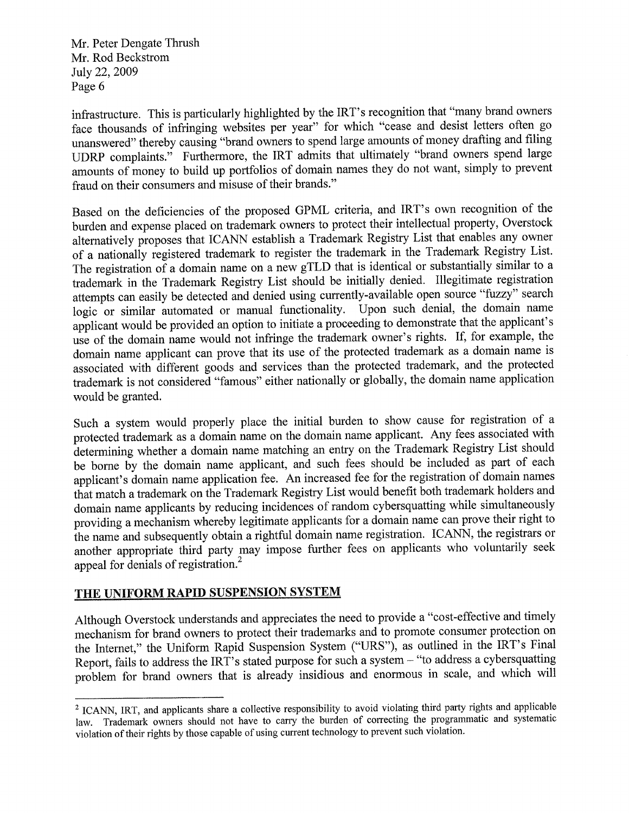infrastructure. This is particularly highlighted by the IRT's recognition that "many brand owners face thousands of infringing websites per year" for which "cease and desist letters often go unanswered" thereby causing "brand owners to spend large amounts of money drafting and filing UDRP complaints." Furthermore, the IRT admits that ultimately "brand owners spend large amounts of money to build up portfolios of domain namos they do not want, simply to prevent fraud on their consumers and misuse of their brands."

Based on the deficiencies of the proposed GPML criteria, and IRT's own recognition of the burden and expense placed on trademark owners to protect their intellectual property, Overstock alternatively proposes that ICANN establish a Trademark Registry List that enables any owner of a nationally registered trademark to register the trademark in the Trademark Registry List. The registration of a domain name on a new gTLD that is identical or substantially similar to a trademäk in the Trademark Registry List should be initially denied. Illegitimate registration attempts can easily be detected and denied using currently-available open source "fuzzy" search logic or similar automated or manual functionality. Upon such denial, the domain name applicant would be provided an option to initiate a proceeding to demonstrate that the applicant's use of the domain name would not infringe the trademark owner's rights. If, for example, the domain name applicant can prove that its use of the protected trademark as a domain name is associated with different goods and services than the protected trademark, and the protected trademark is not considereã "famous" either nationally or globally, the domain name application would be granted.

Such a system would properly place the initial burden to show cause for registration of <sup>a</sup> protected trademark as a domain name on the domain name applicant. Any fees associated with ãetermining whether a domain name matching an entry on the Trademark Registry List should be borne by the domain name applicant, and such fees should be included as part of each applicant's domain name application fee. An increased fee for the registration of domain names that match a trademark on the Trademark Registry List would benefit both trademark holders and domain name applicants by reducing incidences of random cybersquatting while simultaneously providing a meôhanism whereby legitimate applicants for a domain name can prove their right to ihe name and subsequently obtain a rightful domain name registration. ICANN, the registrars or another appropriate third party may impose further fees on applicants who voluntarily seek appeal for denials of registration.'

#### THE UNIFORM RAPID SUSPENSION SYSTEM

Although Overstock understands and appreciates the need to provide a "cost-effective and timely mechanism for brand owners to protect their trademarks and to promote consumer protection on the Internet," the Uniform Rapid Suspension System ("URS"), as outlined in the IRT's Final Report, fails to address the IRT's stated purpose for such a system - "to address a cybersquatting problem for brand owners that is already insidious and enormous in scale, and which will

<sup>&</sup>lt;sup>2</sup> ICANN, IRT, and applicants share a collective responsibility to avoid violating third party rights and applicable law. Trademark owners should not have to cany the burden of correcting the programmatic and systematic violation of their rights by those capable of using current technology to prevent such violation.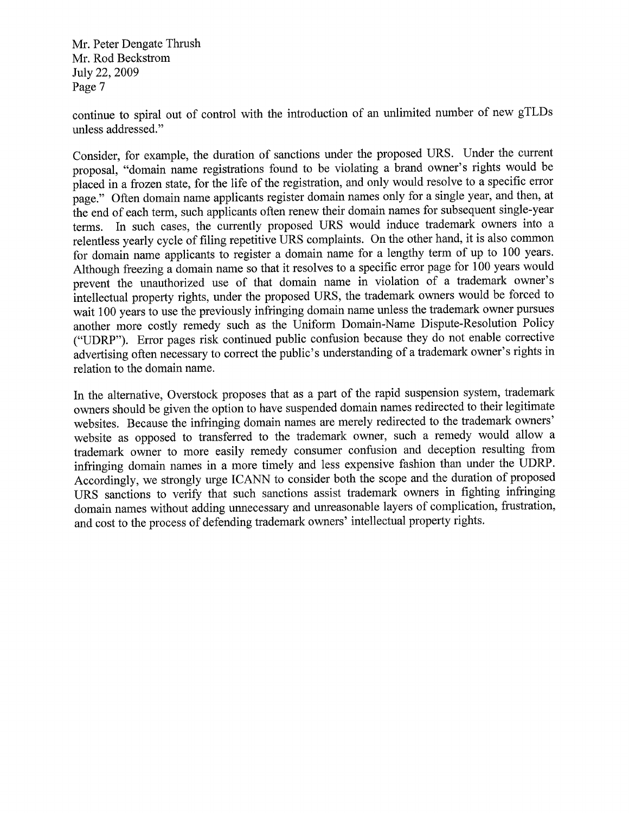continue to spiral out of control with the introduction of an unlimited number of new gTLDs unless addressed."

Consider, for example, the duration of sanctions under the proposed URS. Under the current proposal, "domain name registrations found to be violating a brand ownsr's rights would be placed in a frozen state, for the life of the registration, and only would resolve to a specific error page)' Often domain name applicants register domain names only for a single year, and then, at the end of each term, such applicants often renew their domain names for subsequent single-year terms. In such cases, the currently proposed URS would induce trademark owners into <sup>a</sup> relentless yearly cycle of filing repetitive URS complaints. On the other hand, it is also common for domain name applicants to register a domain name for a lengthy term of up to 100 years. Although freezing a domain name so that it resolves to a specific error page for 100 years would prevent the unauthorized use of that domain name in violation of a trademark owner's intellectual property rights, under the proposed URS, the trademark owners would be forced to wait 100 years to use the previously infringing domain name unless the trademark owner pursues another more costly remedy such as the Uniform Domain-Name Dispute-Resolution Policy ("UDRP"). Error pages risk continued public confusion because they do not enable corrective advertising often nécessary to correct the public's understanding of a trademark owner's rights in relation to the domain name.

In the alternative, Overstock proposes that as a part of the rapid suspension system, trademark owners should be given the option to have suspended domain names redirected to their legitimate websites. Because the infringing domain names are merely redirected to the trademark owners' website as opposed to transferred to the trademark owner, such a remedy would allow <sup>a</sup> trademark owner to more easily remedy consumer confusion and deception resulting from infringing domain names in a more timely and less expensive fashion than under the UDRP. Accordingly, wo strongly urge ICANN to consider both the scope and the duration of proposed URS sanctions to verify that such sanctions assist trademark owners in fighting infringing domain names without adding unnecessary and unreasonable layers of complication, frustration, and cost to the process of defending trademark owners' intellectual property rights.